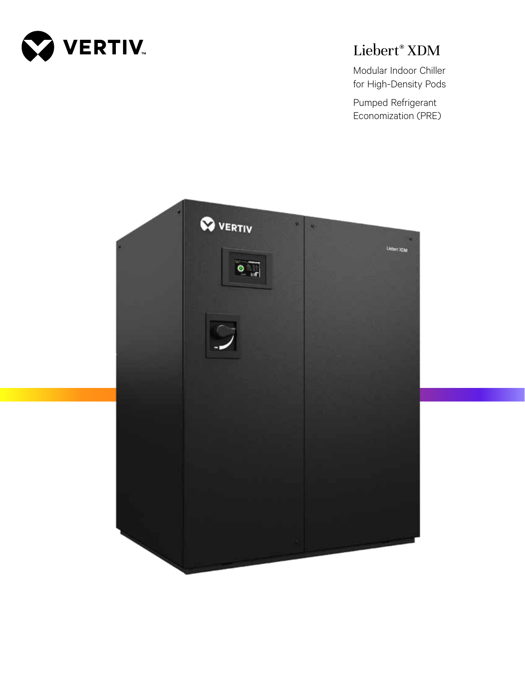

# Liebert® XDM

Modular Indoor Chiller for High-Density Pods

Pumped Refrigerant Economization (PRE)

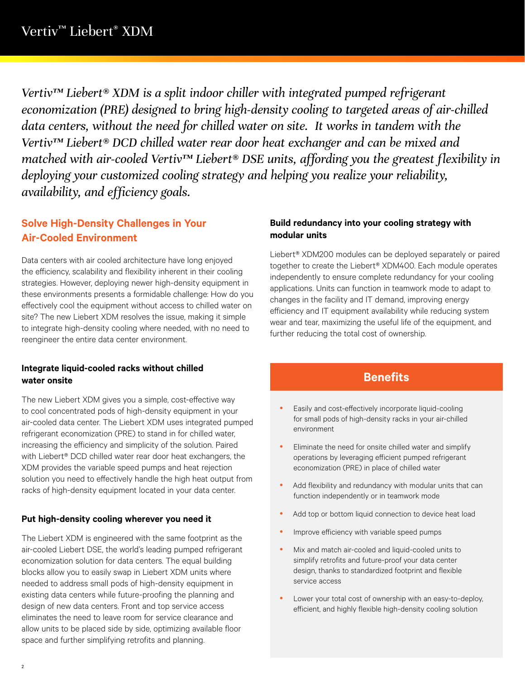*Vertiv™ Liebert® XDM is a split indoor chiller with integrated pumped refrigerant economization (PRE) designed to bring high-density cooling to targeted areas of air-chilled data centers, without the need for chilled water on site. It works in tandem with the Vertiv™ Liebert® DCD chilled water rear door heat exchanger and can be mixed and matched with air-cooled Vertiv™ Liebert® DSE units, affording you the greatest flexibility in deploying your customized cooling strategy and helping you realize your reliability, availability, and efficiency goals.* 

## **Solve High-Density Challenges in Your Air-Cooled Environment**

Data centers with air cooled architecture have long enjoyed the efficiency, scalability and flexibility inherent in their cooling strategies. However, deploying newer high-density equipment in these environments presents a formidable challenge: How do you effectively cool the equipment without access to chilled water on site? The new Liebert XDM resolves the issue, making it simple to integrate high-density cooling where needed, with no need to reengineer the entire data center environment.

#### **Integrate liquid-cooled racks without chilled water onsite**

The new Liebert XDM gives you a simple, cost-effective way to cool concentrated pods of high-density equipment in your air-cooled data center. The Liebert XDM uses integrated pumped refrigerant economization (PRE) to stand in for chilled water, increasing the efficiency and simplicity of the solution. Paired with Liebert® DCD chilled water rear door heat exchangers, the XDM provides the variable speed pumps and heat rejection solution you need to effectively handle the high heat output from racks of high-density equipment located in your data center.

#### **Put high-density cooling wherever you need it**

The Liebert XDM is engineered with the same footprint as the air-cooled Liebert DSE, the world's leading pumped refrigerant economization solution for data centers. The equal building blocks allow you to easily swap in Liebert XDM units where needed to address small pods of high-density equipment in existing data centers while future-proofing the planning and design of new data centers. Front and top service access eliminates the need to leave room for service clearance and allow units to be placed side by side, optimizing available floor space and further simplifying retrofits and planning.

#### **Build redundancy into your cooling strategy with modular units**

Liebert® XDM200 modules can be deployed separately or paired together to create the Liebert® XDM400. Each module operates independently to ensure complete redundancy for your cooling applications. Units can function in teamwork mode to adapt to changes in the facility and IT demand, improving energy efficiency and IT equipment availability while reducing system wear and tear, maximizing the useful life of the equipment, and further reducing the total cost of ownership.

## **Benefits**

- Easily and cost-effectively incorporate liquid-cooling for small pods of high-density racks in your air-chilled environment
- Eliminate the need for onsite chilled water and simplify operations by leveraging efficient pumped refrigerant economization (PRE) in place of chilled water
- Add flexibility and redundancy with modular units that can function independently or in teamwork mode
- Add top or bottom liquid connection to device heat load
- Improve efficiency with variable speed pumps
- Mix and match air-cooled and liquid-cooled units to simplify retrofits and future-proof your data center design, thanks to standardized footprint and flexible service access
- Lower your total cost of ownership with an easy-to-deploy, efficient, and highly flexible high-density cooling solution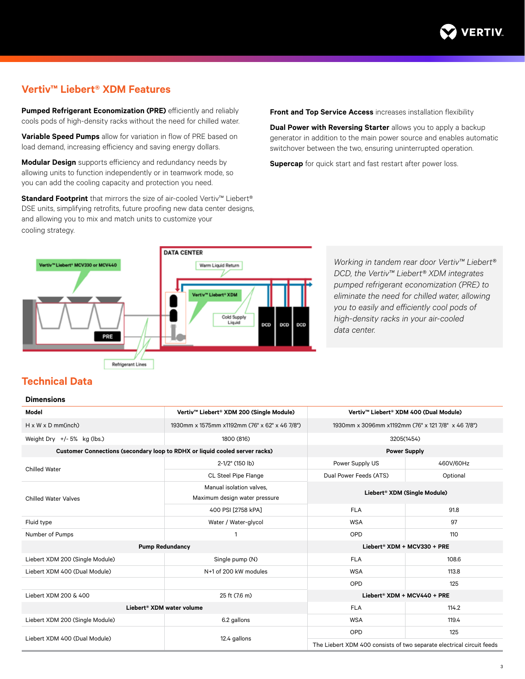

## **Vertiv™ Liebert® XDM Features**

**Pumped Refrigerant Economization (PRE)** efficiently and reliably cools pods of high-density racks without the need for chilled water.

**Variable Speed Pumps** allow for variation in flow of PRE based on load demand, increasing efficiency and saving energy dollars.

**Modular Design** supports efficiency and redundancy needs by allowing units to function independently or in teamwork mode, so you can add the cooling capacity and protection you need.

**Standard Footprint** that mirrors the size of air-cooled Vertiv<sup>™</sup> Liebert® DSE units, simplifying retrofits, future proofing new data center designs, and allowing you to mix and match units to customize your cooling strategy.

**Front and Top Service Access** increases installation flexibility

**Dual Power with Reversing Starter** allows you to apply a backup generator in addition to the main power source and enables automatic switchover between the two, ensuring uninterrupted operation.

**Supercap** for quick start and fast restart after power loss.



*Working in tandem rear door Vertiv™ Liebert® DCD, the Vertiv™ Liebert® XDM integrates pumped refrigerant economization (PRE) to eliminate the need for chilled water, allowing you to easily and efficiently cool pods of high-density racks in your air-cooled data center.* 

### **Technical Data**

#### **Dimensions**

| Model                                                                       | Vertiv™ Liebert® XDM 200 (Single Module)                  | Vertiv <sup>™</sup> Liebert <sup>®</sup> XDM 400 (Dual Module)        |           |
|-----------------------------------------------------------------------------|-----------------------------------------------------------|-----------------------------------------------------------------------|-----------|
| $H \times W \times D$ mm(inch)                                              | 1930mm x 1575mm x1192mm (76" x 62" x 46 7/8")             | 1930mm x 3096mm x1192mm (76" x 121 7/8" x 46 7/8")                    |           |
| Weight Dry $+/-5\%$ kg (lbs.)                                               | 1800 (816)                                                | 3205(1454)                                                            |           |
| Customer Connections (secondary loop to RDHX or liquid cooled server racks) |                                                           | <b>Power Supply</b>                                                   |           |
| <b>Chilled Water</b>                                                        | 2-1/2" (150 lb)                                           | Power Supply US                                                       | 460V/60Hz |
|                                                                             | CL Steel Pipe Flange                                      | Dual Power Feeds (ATS)                                                | Optional  |
| <b>Chilled Water Valves</b>                                                 | Manual isolation valves,<br>Maximum design water pressure | Liebert® XDM (Single Module)                                          |           |
|                                                                             | 400 PSI [2758 kPA]                                        | <b>FLA</b>                                                            | 91.8      |
| Fluid type                                                                  | Water / Water-glycol                                      | <b>WSA</b>                                                            | 97        |
| Number of Pumps                                                             | 1                                                         | OPD                                                                   | 110       |
| <b>Pump Redundancy</b>                                                      |                                                           | Liebert® XDM + MCV330 + PRE                                           |           |
| Liebert XDM 200 (Single Module)                                             | Single pump (N)                                           | <b>FLA</b>                                                            | 108.6     |
| Liebert XDM 400 (Dual Module)                                               | N+1 of 200 kW modules                                     | <b>WSA</b>                                                            | 113.8     |
|                                                                             |                                                           | OPD                                                                   | 125       |
| Liebert XDM 200 & 400                                                       | 25 ft (7.6 m)                                             | Liebert® XDM + MCV440 + PRE                                           |           |
| Liebert <sup>®</sup> XDM water volume                                       |                                                           | <b>FLA</b>                                                            | 114.2     |
| Liebert XDM 200 (Single Module)                                             | 6.2 gallons                                               | <b>WSA</b>                                                            | 119.4     |
| Liebert XDM 400 (Dual Module)                                               | 12.4 gallons                                              | <b>OPD</b>                                                            | 125       |
|                                                                             |                                                           | The Liebert XDM 400 consists of two separate electrical circuit feeds |           |